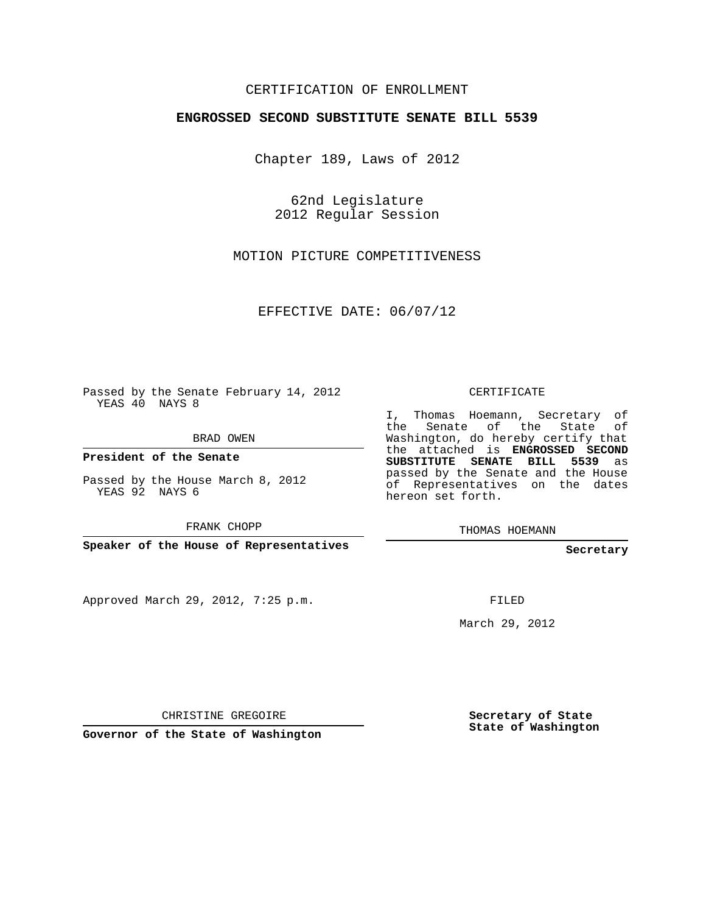## CERTIFICATION OF ENROLLMENT

## **ENGROSSED SECOND SUBSTITUTE SENATE BILL 5539**

Chapter 189, Laws of 2012

62nd Legislature 2012 Regular Session

MOTION PICTURE COMPETITIVENESS

EFFECTIVE DATE: 06/07/12

Passed by the Senate February 14, 2012 YEAS 40 NAYS 8

BRAD OWEN

**President of the Senate**

Passed by the House March 8, 2012 YEAS 92 NAYS 6

FRANK CHOPP

**Speaker of the House of Representatives**

Approved March 29, 2012, 7:25 p.m.

CERTIFICATE

I, Thomas Hoemann, Secretary of the Senate of the State of Washington, do hereby certify that the attached is **ENGROSSED SECOND SUBSTITUTE SENATE BILL 5539** as passed by the Senate and the House of Representatives on the dates hereon set forth.

THOMAS HOEMANN

**Secretary**

FILED

March 29, 2012

CHRISTINE GREGOIRE

**Governor of the State of Washington**

**Secretary of State State of Washington**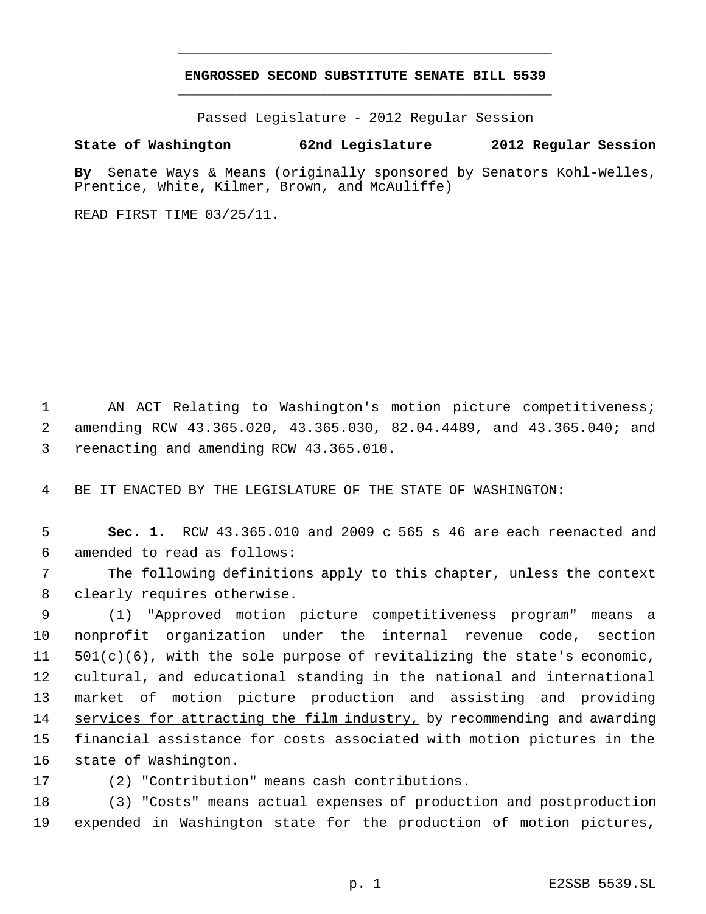## **ENGROSSED SECOND SUBSTITUTE SENATE BILL 5539** \_\_\_\_\_\_\_\_\_\_\_\_\_\_\_\_\_\_\_\_\_\_\_\_\_\_\_\_\_\_\_\_\_\_\_\_\_\_\_\_\_\_\_\_\_

\_\_\_\_\_\_\_\_\_\_\_\_\_\_\_\_\_\_\_\_\_\_\_\_\_\_\_\_\_\_\_\_\_\_\_\_\_\_\_\_\_\_\_\_\_

Passed Legislature - 2012 Regular Session

## **State of Washington 62nd Legislature 2012 Regular Session**

**By** Senate Ways & Means (originally sponsored by Senators Kohl-Welles, Prentice, White, Kilmer, Brown, and McAuliffe)

READ FIRST TIME 03/25/11.

1 AN ACT Relating to Washington's motion picture competitiveness; 2 amending RCW 43.365.020, 43.365.030, 82.04.4489, and 43.365.040; and 3 reenacting and amending RCW 43.365.010.

4 BE IT ENACTED BY THE LEGISLATURE OF THE STATE OF WASHINGTON:

 5 **Sec. 1.** RCW 43.365.010 and 2009 c 565 s 46 are each reenacted and 6 amended to read as follows:

 7 The following definitions apply to this chapter, unless the context 8 clearly requires otherwise.

 (1) "Approved motion picture competitiveness program" means a nonprofit organization under the internal revenue code, section 501(c)(6), with the sole purpose of revitalizing the state's economic, cultural, and educational standing in the national and international 13 market of motion picture production and assisting and providing 14 services for attracting the film industry, by recommending and awarding financial assistance for costs associated with motion pictures in the state of Washington.

17 (2) "Contribution" means cash contributions.

18 (3) "Costs" means actual expenses of production and postproduction 19 expended in Washington state for the production of motion pictures,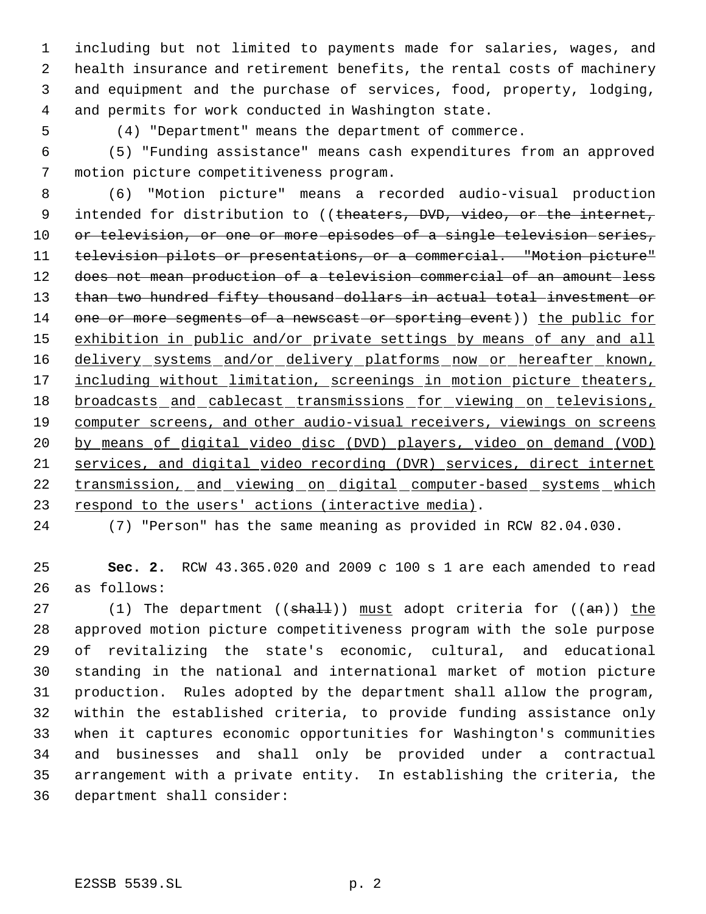including but not limited to payments made for salaries, wages, and health insurance and retirement benefits, the rental costs of machinery and equipment and the purchase of services, food, property, lodging, and permits for work conducted in Washington state.

5 (4) "Department" means the department of commerce.

 (5) "Funding assistance" means cash expenditures from an approved motion picture competitiveness program.

 (6) "Motion picture" means a recorded audio-visual production 9 intended for distribution to ((theaters, DVD, video, or the internet, 10 or television, or one or more episodes of a single television series, television pilots or presentations, or a commercial. "Motion picture" does not mean production of a television commercial of an amount less 13 than two hundred fifty thousand dollars in actual total investment or 14 one or more segments of a newscast or sporting event)) the public for 15 exhibition in public and/or private settings by means of any and all 16 delivery systems and/or delivery platforms now or hereafter known, 17 including without limitation, screenings in motion picture theaters, 18 broadcasts and cablecast transmissions for viewing on televisions, 19 computer screens, and other audio-visual receivers, viewings on screens by means of digital video disc (DVD) players, video on demand (VOD) services, and digital video recording (DVR) services, direct internet transmission, and viewing on digital computer-based systems which 23 respond to the users' actions (interactive media).

(7) "Person" has the same meaning as provided in RCW 82.04.030.

 **Sec. 2.** RCW 43.365.020 and 2009 c 100 s 1 are each amended to read as follows:

27 (1) The department (( $sha11$ )) must adopt criteria for ( $am)$ ) the approved motion picture competitiveness program with the sole purpose of revitalizing the state's economic, cultural, and educational standing in the national and international market of motion picture production. Rules adopted by the department shall allow the program, within the established criteria, to provide funding assistance only when it captures economic opportunities for Washington's communities and businesses and shall only be provided under a contractual arrangement with a private entity. In establishing the criteria, the department shall consider: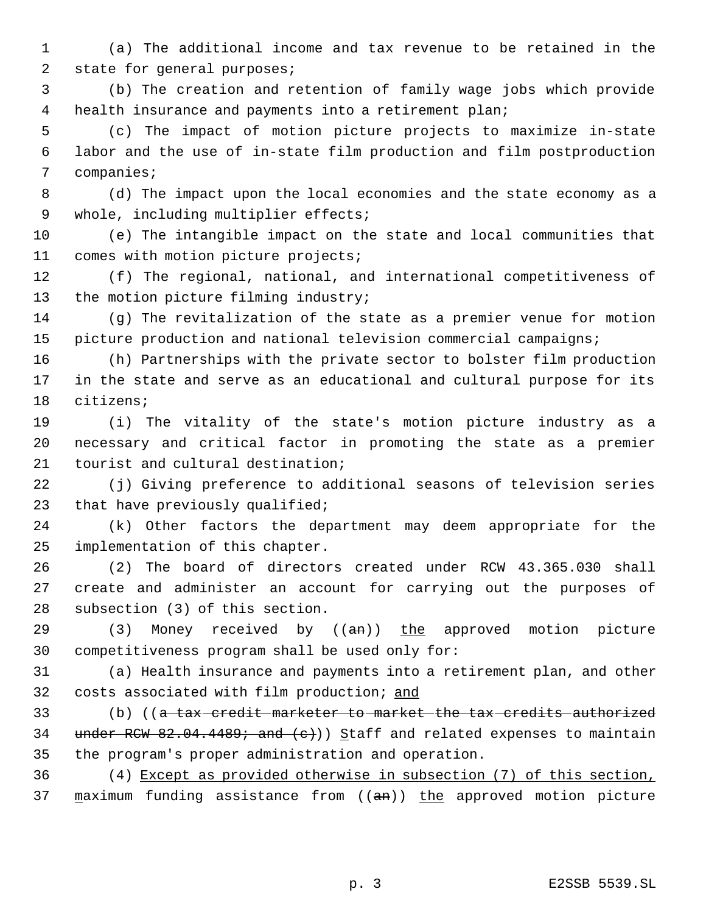(a) The additional income and tax revenue to be retained in the 2 state for general purposes;

 (b) The creation and retention of family wage jobs which provide health insurance and payments into a retirement plan;

 (c) The impact of motion picture projects to maximize in-state labor and the use of in-state film production and film postproduction companies;

 (d) The impact upon the local economies and the state economy as a whole, including multiplier effects;

 (e) The intangible impact on the state and local communities that comes with motion picture projects;

 (f) The regional, national, and international competitiveness of 13 the motion picture filming industry;

 (g) The revitalization of the state as a premier venue for motion picture production and national television commercial campaigns;

 (h) Partnerships with the private sector to bolster film production in the state and serve as an educational and cultural purpose for its citizens;

 (i) The vitality of the state's motion picture industry as a necessary and critical factor in promoting the state as a premier tourist and cultural destination;

 (j) Giving preference to additional seasons of television series that have previously qualified;

 (k) Other factors the department may deem appropriate for the implementation of this chapter.

 (2) The board of directors created under RCW 43.365.030 shall create and administer an account for carrying out the purposes of subsection (3) of this section.

 (3) Money received by ((an)) the approved motion picture competitiveness program shall be used only for:

 (a) Health insurance and payments into a retirement plan, and other 32 costs associated with film production; and

 (b) ((a tax credit marketer to market the tax credits authorized 34 under RCW 82.04.4489; and  $(e)$ ) Staff and related expenses to maintain the program's proper administration and operation.

 (4) Except as provided otherwise in subsection (7) of this section, 37  $maximum$  funding assistance from (( $an$ )) the approved motion picture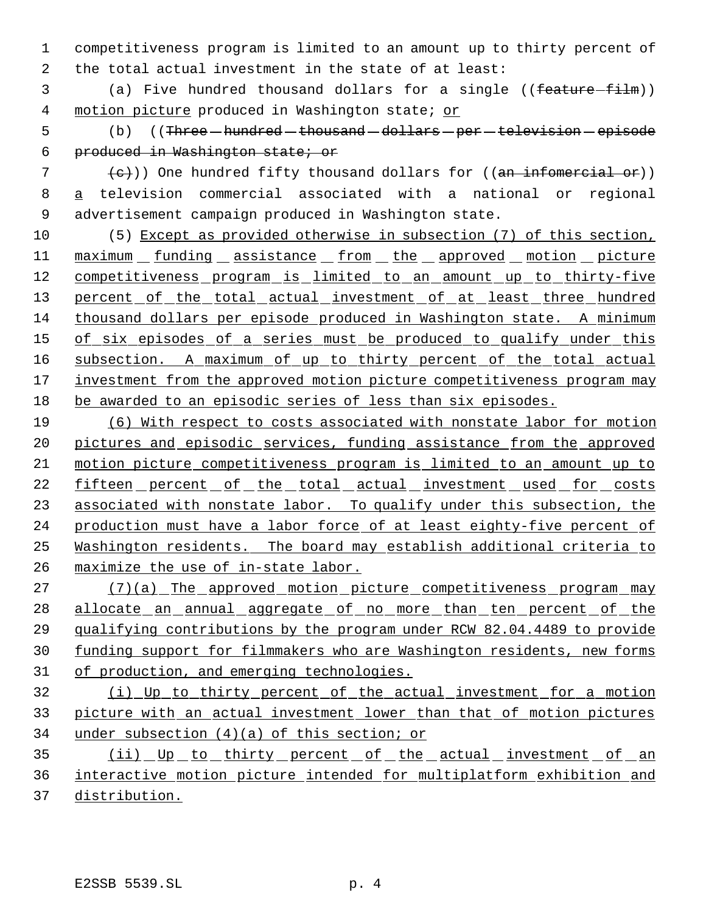1 competitiveness program is limited to an amount up to thirty percent of 2 the total actual investment in the state of at least:

3 (a) Five hundred thousand dollars for a single ((feature-film)) 4 motion picture produced in Washington state; or

5 (b) ((Three - hundred - thousand - dollars - per - television - episode 6 produced in Washington state; or

 $7$  (e)) One hundred fifty thousand dollars for ((an infomercial or)) 8 a television commercial associated with a national or regional 9 advertisement campaign produced in Washington state.

10 (5) Except as provided otherwise in subsection (7) of this section, 11 maximum funding assistance from the approved motion picture 12 competitiveness program is limited to an amount up to thirty-five 13 percent of the total actual investment of at least three hundred 14 thousand dollars per episode produced in Washington state. A minimum 15 of six episodes of a series must be produced to qualify under this 16 subsection. A maximum of up to thirty percent of the total actual 17 investment from the approved motion picture competitiveness program may 18 be awarded to an episodic series of less than six episodes.

 (6) With respect to costs associated with nonstate labor for motion pictures and episodic services, funding assistance from the approved motion picture competitiveness program is limited to an amount up to 22 fifteen percent of the total actual investment used for costs 23 associated with nonstate labor. To qualify under this subsection, the 24 production must have a labor force of at least eighty-five percent of Washington residents. The board may establish additional criteria to maximize the use of in-state labor.

27 (7)(a) The approved motion picture competitiveness program may 28 allocate an annual aggregate of no more than ten percent of the 29 qualifying contributions by the program under RCW 82.04.4489 to provide 30 funding support for filmmakers who are Washington residents, new forms 31 of production, and emerging technologies.

32 (i) Up to thirty percent of the actual investment for a motion 33 picture with an actual investment lower than that of motion pictures 34 under subsection (4)(a) of this section; or

35 (ii) Up to thirty percent of the actual investment of an 36 interactive motion picture intended for multiplatform exhibition and 37 distribution.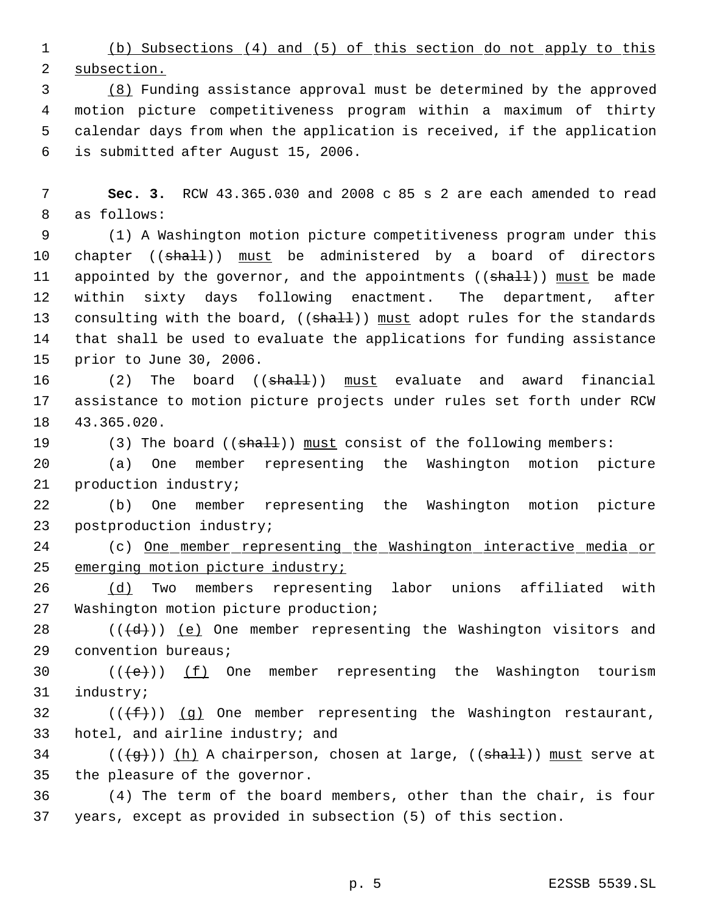(b) Subsections (4) and (5) of this section do not apply to this subsection.

 (8) Funding assistance approval must be determined by the approved motion picture competitiveness program within a maximum of thirty calendar days from when the application is received, if the application is submitted after August 15, 2006.

 **Sec. 3.** RCW 43.365.030 and 2008 c 85 s 2 are each amended to read as follows:

 (1) A Washington motion picture competitiveness program under this 10 chapter ((shall)) must be administered by a board of directors 11 appointed by the governor, and the appointments ((shall)) must be made within sixty days following enactment. The department, after 13 consulting with the board, ((shall)) must adopt rules for the standards that shall be used to evaluate the applications for funding assistance prior to June 30, 2006.

16 (2) The board ((<del>shall</del>)) must evaluate and award financial assistance to motion picture projects under rules set forth under RCW 43.365.020.

19 (3) The board ((shall)) must consist of the following members:

 (a) One member representing the Washington motion picture production industry;

 (b) One member representing the Washington motion picture postproduction industry;

24 (c) One member representing the Washington interactive media or emerging motion picture industry;

 (d) Two members representing labor unions affiliated with Washington motion picture production;

28 ( $(\overline{\{d\}})$ ) (e) One member representing the Washington visitors and convention bureaus;

30  $((\text{+e})^*)$  (f) One member representing the Washington tourism industry;

32 ( $(\{\text{f}\})$ ) (g) One member representing the Washington restaurant, hotel, and airline industry; and

34 ( $(\frac{1}{3})$ ) (h) A chairperson, chosen at large, ((shall)) must serve at the pleasure of the governor.

 (4) The term of the board members, other than the chair, is four years, except as provided in subsection (5) of this section.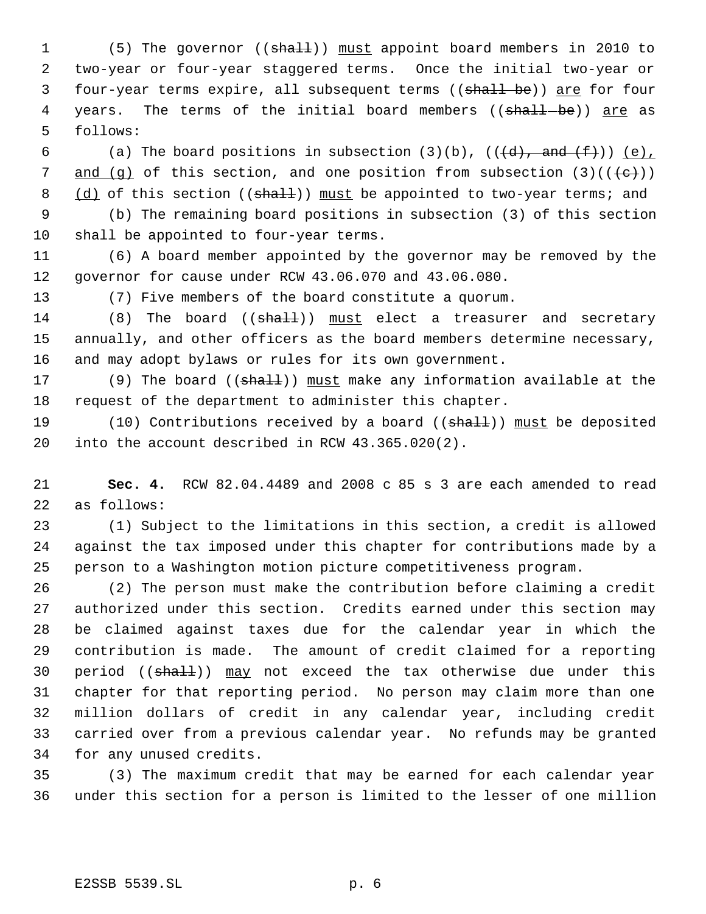1 (5) The governor ((shall)) must appoint board members in 2010 to two-year or four-year staggered terms. Once the initial two-year or 3 four-year terms expire, all subsequent terms ((shall be)) are for four 4 years. The terms of the initial board members ((shall-be)) are as follows:

6 (a) The board positions in subsection  $(3)(b)$ ,  $((\{d\}, \text{and } (\pm)))(e)$ , 7 and (q) of this section, and one position from subsection  $(3)((\{e\})$ 8 (d) of this section ((shall)) must be appointed to two-year terms; and

 (b) The remaining board positions in subsection (3) of this section shall be appointed to four-year terms.

 (6) A board member appointed by the governor may be removed by the governor for cause under RCW 43.06.070 and 43.06.080.

(7) Five members of the board constitute a quorum.

14 (8) The board ((shall)) must elect a treasurer and secretary annually, and other officers as the board members determine necessary, and may adopt bylaws or rules for its own government.

17 (9) The board ((shall)) must make any information available at the request of the department to administer this chapter.

19 (10) Contributions received by a board ((shall)) must be deposited into the account described in RCW 43.365.020(2).

 **Sec. 4.** RCW 82.04.4489 and 2008 c 85 s 3 are each amended to read as follows:

 (1) Subject to the limitations in this section, a credit is allowed against the tax imposed under this chapter for contributions made by a person to a Washington motion picture competitiveness program.

 (2) The person must make the contribution before claiming a credit authorized under this section. Credits earned under this section may be claimed against taxes due for the calendar year in which the contribution is made. The amount of credit claimed for a reporting 30 period ((shall)) may not exceed the tax otherwise due under this chapter for that reporting period. No person may claim more than one million dollars of credit in any calendar year, including credit carried over from a previous calendar year. No refunds may be granted for any unused credits.

 (3) The maximum credit that may be earned for each calendar year under this section for a person is limited to the lesser of one million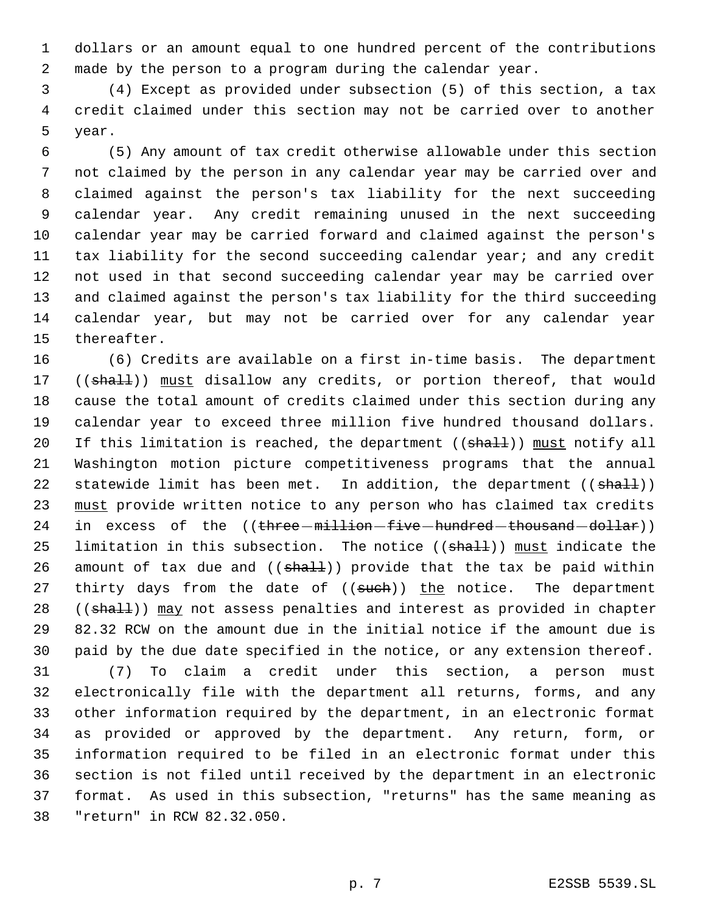dollars or an amount equal to one hundred percent of the contributions made by the person to a program during the calendar year.

 (4) Except as provided under subsection (5) of this section, a tax credit claimed under this section may not be carried over to another year.

 (5) Any amount of tax credit otherwise allowable under this section not claimed by the person in any calendar year may be carried over and claimed against the person's tax liability for the next succeeding calendar year. Any credit remaining unused in the next succeeding calendar year may be carried forward and claimed against the person's tax liability for the second succeeding calendar year; and any credit not used in that second succeeding calendar year may be carried over and claimed against the person's tax liability for the third succeeding calendar year, but may not be carried over for any calendar year thereafter.

 (6) Credits are available on a first in-time basis. The department 17 ((shall)) must disallow any credits, or portion thereof, that would cause the total amount of credits claimed under this section during any calendar year to exceed three million five hundred thousand dollars. 20 If this limitation is reached, the department ((shall)) must notify all Washington motion picture competitiveness programs that the annual 22 statewide limit has been met. In addition, the department  $((\text{shalt}))$  must provide written notice to any person who has claimed tax credits 24 in excess of the ((three -million -five -hundred -thousand -dollar)) 25 limitation in this subsection. The notice  $((shall))$  must indicate the 26 amount of tax due and  $((shall))$  provide that the tax be paid within 27 thirty days from the date of ((such)) the notice. The department 28 ((shall)) may not assess penalties and interest as provided in chapter 82.32 RCW on the amount due in the initial notice if the amount due is paid by the due date specified in the notice, or any extension thereof.

 (7) To claim a credit under this section, a person must electronically file with the department all returns, forms, and any other information required by the department, in an electronic format as provided or approved by the department. Any return, form, or information required to be filed in an electronic format under this section is not filed until received by the department in an electronic format. As used in this subsection, "returns" has the same meaning as "return" in RCW 82.32.050.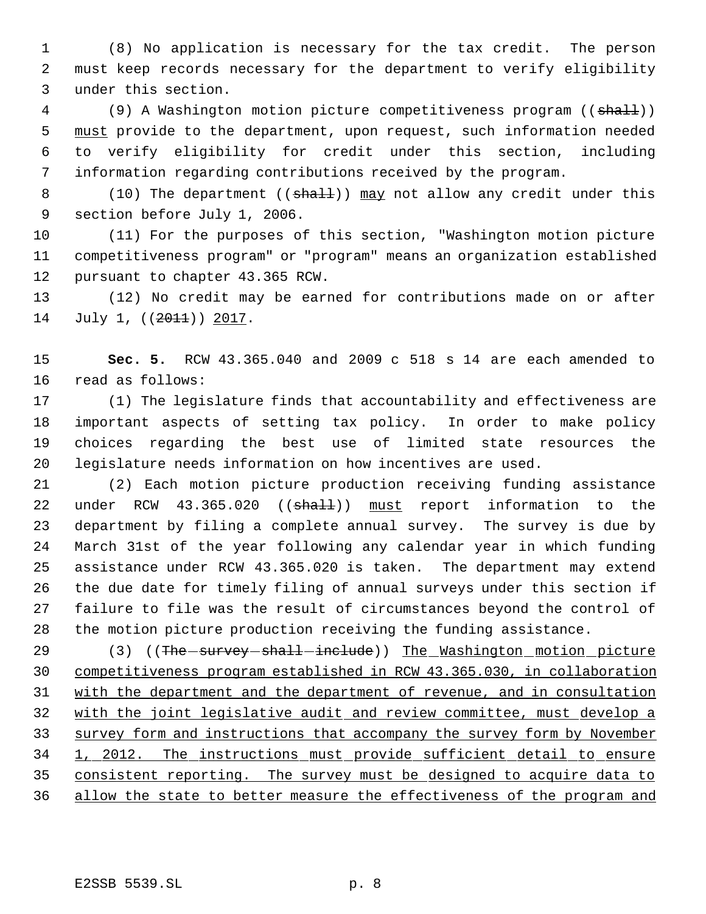(8) No application is necessary for the tax credit. The person must keep records necessary for the department to verify eligibility under this section.

4 (9) A Washington motion picture competitiveness program ((shall)) 5 must provide to the department, upon request, such information needed to verify eligibility for credit under this section, including information regarding contributions received by the program.

8 (10) The department ((shall)) may not allow any credit under this section before July 1, 2006.

 (11) For the purposes of this section, "Washington motion picture competitiveness program" or "program" means an organization established pursuant to chapter 43.365 RCW.

 (12) No credit may be earned for contributions made on or after 14 July 1, ((2011)) 2017.

 **Sec. 5.** RCW 43.365.040 and 2009 c 518 s 14 are each amended to read as follows:

 (1) The legislature finds that accountability and effectiveness are important aspects of setting tax policy. In order to make policy choices regarding the best use of limited state resources the legislature needs information on how incentives are used.

 (2) Each motion picture production receiving funding assistance 22 under RCW 43.365.020 ((shall)) must report information to the department by filing a complete annual survey. The survey is due by March 31st of the year following any calendar year in which funding assistance under RCW 43.365.020 is taken. The department may extend the due date for timely filing of annual surveys under this section if failure to file was the result of circumstances beyond the control of the motion picture production receiving the funding assistance.

29 (3) ((The survey shall -include)) The Washington motion picture competitiveness program established in RCW 43.365.030, in collaboration with the department and the department of revenue, and in consultation with the joint legislative audit and review committee, must develop a survey form and instructions that accompany the survey form by November 1, 2012. The instructions must provide sufficient detail to ensure 35 consistent reporting. The survey must be designed to acquire data to allow the state to better measure the effectiveness of the program and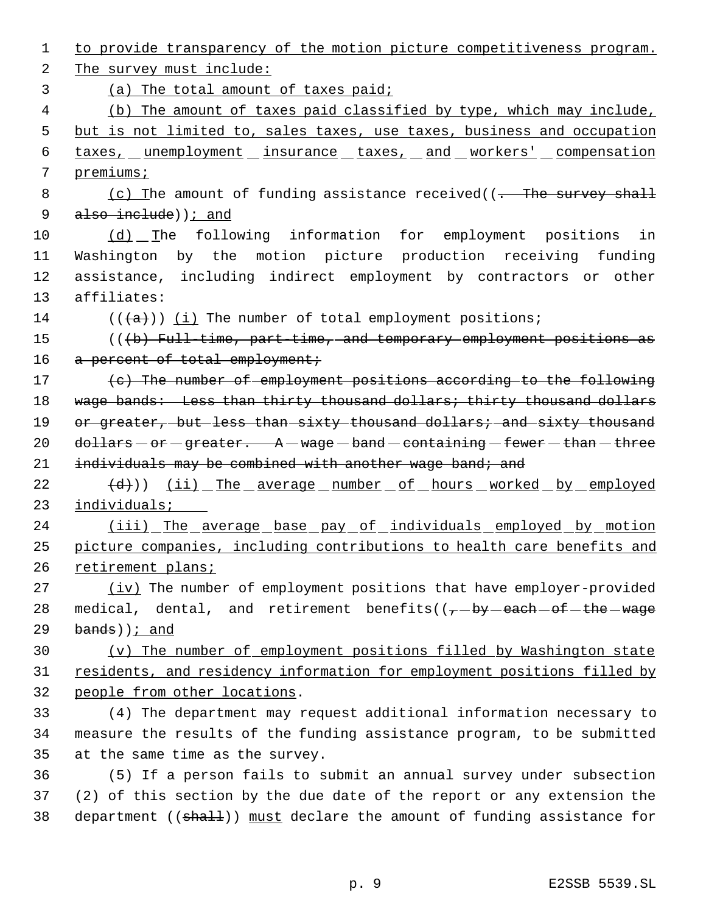1 to provide transparency of the motion picture competitiveness program. 2 The survey must include: 3 (a) The total amount of taxes paid; 4 (b) The amount of taxes paid classified by type, which may include, 5 but is not limited to, sales taxes, use taxes, business and occupation 6 taxes, unemployment insurance taxes, and workers' compensation 7 premiums; 8 (c) The amount of funding assistance received((- The survey shall 9 also include) ) *i* and 10 (d) The following information for employment positions in 11 Washington by the motion picture production receiving funding 12 assistance, including indirect employment by contractors or other 13 affiliates: 14 ( $(\overline{\{a\}})$ ) (i) The number of total employment positions; 15 (((b) Full-time, part-time, and temporary employment positions as 16 a percent of total employment; 17 (c) The number of employment positions according to the following 18 wage bands: Less than thirty thousand dollars; thirty thousand dollars 19 or greater, but less than sixty thousand dollars; and sixty thousand 20 dollars  $-$  or  $-$  greater.  $A -$  wage  $-$  band  $-$  containing  $-$  fewer  $-$  than  $-$  three 21 individuals may be combined with another wage band; and 22 (d)) (ii) The average number of hours worked by employed 23 individuals; 24 (iii) The average base pay of individuals employed by motion 25 picture companies, including contributions to health care benefits and 26 retirement plans; 27 (iv) The number of employment positions that have employer-provided 28 medical, dental, and retirement benefits( $(-$ by each of the wage  $29$  bands)); and 30 (v) The number of employment positions filled by Washington state 31 residents, and residency information for employment positions filled by 32 people from other locations. 33 (4) The department may request additional information necessary to 34 measure the results of the funding assistance program, to be submitted 35 at the same time as the survey. 36 (5) If a person fails to submit an annual survey under subsection 37 (2) of this section by the due date of the report or any extension the 38 department ((shall)) must declare the amount of funding assistance for